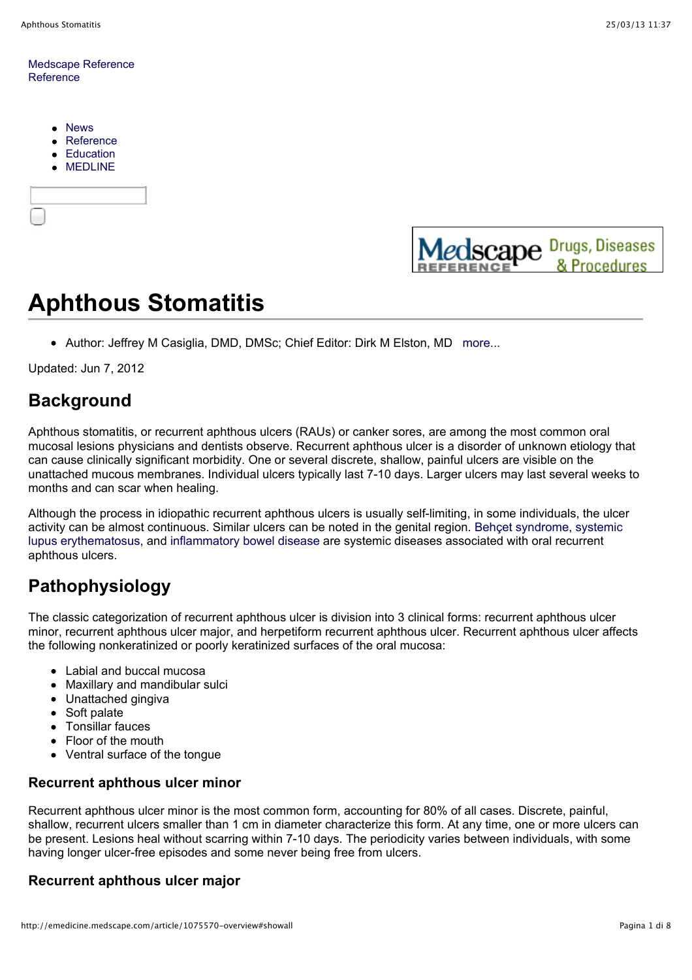#### Medscape Reference Reference

- News  $\bullet$
- Reference
- Education
- MEDLINE





# **Aphthous Stomatitis**

• Author: Jeffrey M Casiglia, DMD, DMSc; Chief Editor: Dirk M Elston, MD more...

Updated: Jun 7, 2012

# **Background**

Aphthous stomatitis, or recurrent aphthous ulcers (RAUs) or canker sores, are among the most common oral mucosal lesions physicians and dentists observe. Recurrent aphthous ulcer is a disorder of unknown etiology that can cause clinically significant morbidity. One or several discrete, shallow, painful ulcers are visible on the unattached mucous membranes. Individual ulcers typically last 7-10 days. Larger ulcers may last several weeks to months and can scar when healing.

Although the process in idiopathic recurrent aphthous ulcers is usually self-limiting, in some individuals, the ulcer activity can be almost continuous. Similar ulcers can be noted in the genital region. Behçet syndrome, systemic lupus erythematosus, and inflammatory bowel disease are systemic diseases associated with oral recurrent aphthous ulcers.

# **Pathophysiology**

The classic categorization of recurrent aphthous ulcer is division into 3 clinical forms: recurrent aphthous ulcer minor, recurrent aphthous ulcer major, and herpetiform recurrent aphthous ulcer. Recurrent aphthous ulcer affects the following nonkeratinized or poorly keratinized surfaces of the oral mucosa:

- Labial and buccal mucosa
- Maxillary and mandibular sulci
- Unattached gingiva
- Soft palate
- Tonsillar fauces
- Floor of the mouth
- Ventral surface of the tongue

### **Recurrent aphthous ulcer minor**

Recurrent aphthous ulcer minor is the most common form, accounting for 80% of all cases. Discrete, painful, shallow, recurrent ulcers smaller than 1 cm in diameter characterize this form. At any time, one or more ulcers can be present. Lesions heal without scarring within 7-10 days. The periodicity varies between individuals, with some having longer ulcer-free episodes and some never being free from ulcers.

### **Recurrent aphthous ulcer major**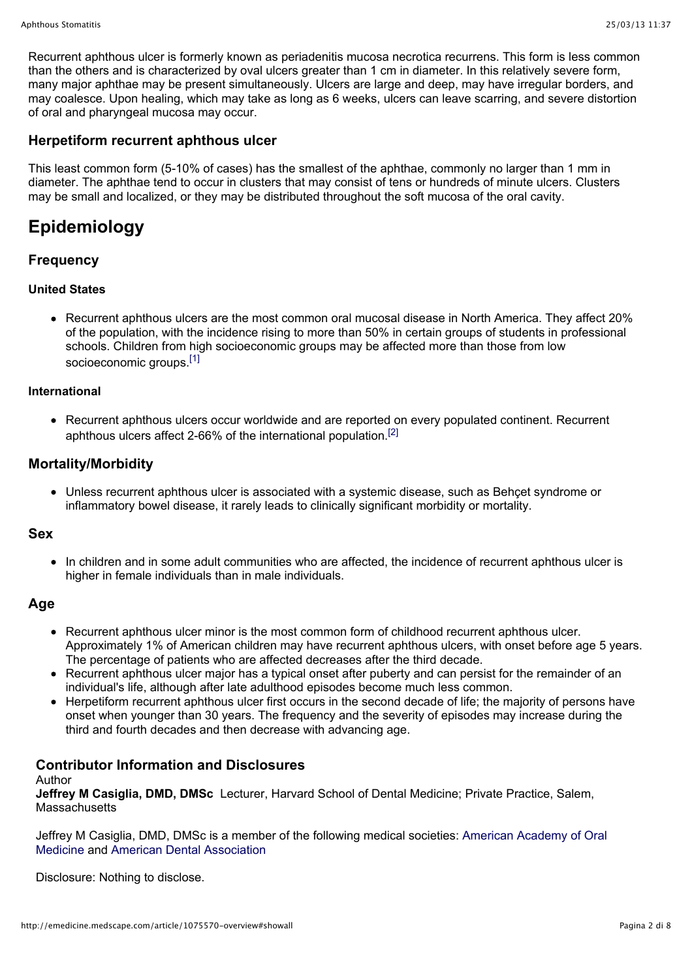Recurrent aphthous ulcer is formerly known as periadenitis mucosa necrotica recurrens. This form is less common than the others and is characterized by oval ulcers greater than 1 cm in diameter. In this relatively severe form, many major aphthae may be present simultaneously. Ulcers are large and deep, may have irregular borders, and may coalesce. Upon healing, which may take as long as 6 weeks, ulcers can leave scarring, and severe distortion of oral and pharyngeal mucosa may occur.

#### **Herpetiform recurrent aphthous ulcer**

This least common form (5-10% of cases) has the smallest of the aphthae, commonly no larger than 1 mm in diameter. The aphthae tend to occur in clusters that may consist of tens or hundreds of minute ulcers. Clusters may be small and localized, or they may be distributed throughout the soft mucosa of the oral cavity.

# **Epidemiology**

### **Frequency**

#### **United States**

Recurrent aphthous ulcers are the most common oral mucosal disease in North America. They affect 20% of the population, with the incidence rising to more than 50% in certain groups of students in professional schools. Children from high socioeconomic groups may be affected more than those from low socioeconomic groups.<sup>[1]</sup>

#### **International**

Recurrent aphthous ulcers occur worldwide and are reported on every populated continent. Recurrent aphthous ulcers affect 2-66% of the international population.[2]

#### **Mortality/Morbidity**

Unless recurrent aphthous ulcer is associated with a systemic disease, such as Behçet syndrome or inflammatory bowel disease, it rarely leads to clinically significant morbidity or mortality.

#### **Sex**

• In children and in some adult communities who are affected, the incidence of recurrent aphthous ulcer is higher in female individuals than in male individuals.

#### **Age**

- Recurrent aphthous ulcer minor is the most common form of childhood recurrent aphthous ulcer. Approximately 1% of American children may have recurrent aphthous ulcers, with onset before age 5 years. The percentage of patients who are affected decreases after the third decade.
- Recurrent aphthous ulcer major has a typical onset after puberty and can persist for the remainder of an individual's life, although after late adulthood episodes become much less common.
- Herpetiform recurrent aphthous ulcer first occurs in the second decade of life; the majority of persons have onset when younger than 30 years. The frequency and the severity of episodes may increase during the third and fourth decades and then decrease with advancing age.

## **Contributor Information and Disclosures**

#### Author

**Jeffrey M Casiglia, DMD, DMSc** Lecturer, Harvard School of Dental Medicine; Private Practice, Salem, **Massachusetts** 

Jeffrey M Casiglia, DMD, DMSc is a member of the following medical societies: American Academy of Oral Medicine and American Dental Association

Disclosure: Nothing to disclose.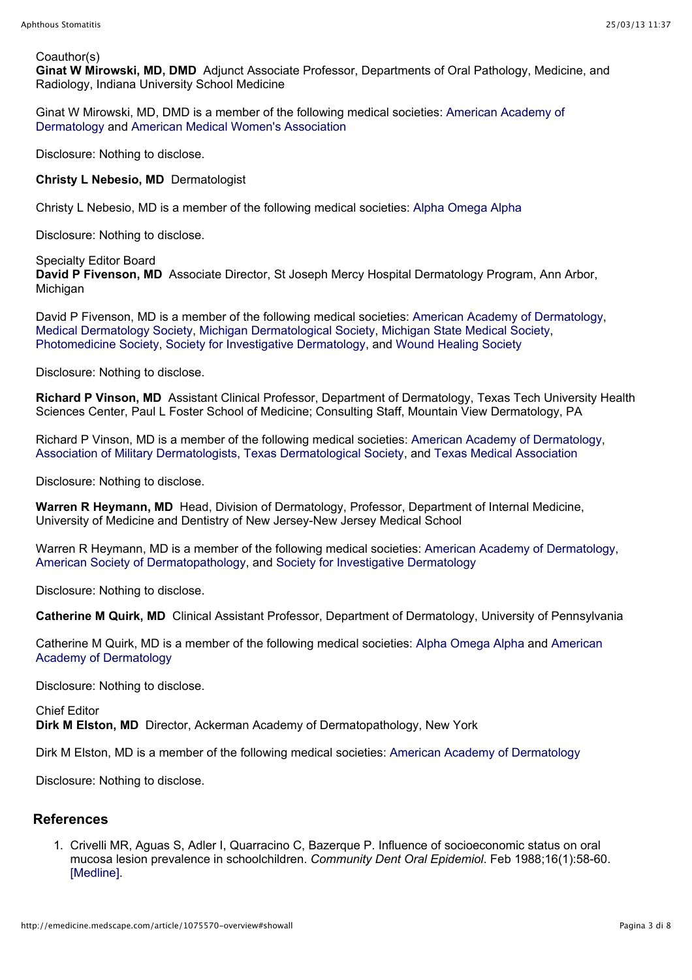#### Coauthor(s)

**Ginat W Mirowski, MD, DMD** Adjunct Associate Professor, Departments of Oral Pathology, Medicine, and Radiology, Indiana University School Medicine

Ginat W Mirowski, MD, DMD is a member of the following medical societies: American Academy of Dermatology and American Medical Women's Association

Disclosure: Nothing to disclose.

**Christy L Nebesio, MD** Dermatologist

Christy L Nebesio, MD is a member of the following medical societies: Alpha Omega Alpha

Disclosure: Nothing to disclose.

#### Specialty Editor Board

**David P Fivenson, MD** Associate Director, St Joseph Mercy Hospital Dermatology Program, Ann Arbor, Michigan

David P Fivenson, MD is a member of the following medical societies: American Academy of Dermatology, Medical Dermatology Society, Michigan Dermatological Society, Michigan State Medical Society, Photomedicine Society, Society for Investigative Dermatology, and Wound Healing Society

Disclosure: Nothing to disclose.

**Richard P Vinson, MD** Assistant Clinical Professor, Department of Dermatology, Texas Tech University Health Sciences Center, Paul L Foster School of Medicine; Consulting Staff, Mountain View Dermatology, PA

Richard P Vinson, MD is a member of the following medical societies: American Academy of Dermatology, Association of Military Dermatologists, Texas Dermatological Society, and Texas Medical Association

Disclosure: Nothing to disclose.

**Warren R Heymann, MD** Head, Division of Dermatology, Professor, Department of Internal Medicine, University of Medicine and Dentistry of New Jersey-New Jersey Medical School

Warren R Heymann, MD is a member of the following medical societies: American Academy of Dermatology, American Society of Dermatopathology, and Society for Investigative Dermatology

Disclosure: Nothing to disclose.

**Catherine M Quirk, MD** Clinical Assistant Professor, Department of Dermatology, University of Pennsylvania

Catherine M Quirk, MD is a member of the following medical societies: Alpha Omega Alpha and American Academy of Dermatology

Disclosure: Nothing to disclose.

Chief Editor **Dirk M Elston, MD** Director, Ackerman Academy of Dermatopathology, New York

Dirk M Elston, MD is a member of the following medical societies: American Academy of Dermatology

Disclosure: Nothing to disclose.

#### **References**

1. Crivelli MR, Aguas S, Adler I, Quarracino C, Bazerque P. Influence of socioeconomic status on oral mucosa lesion prevalence in schoolchildren. *Community Dent Oral Epidemiol*. Feb 1988;16(1):58-60. [Medline].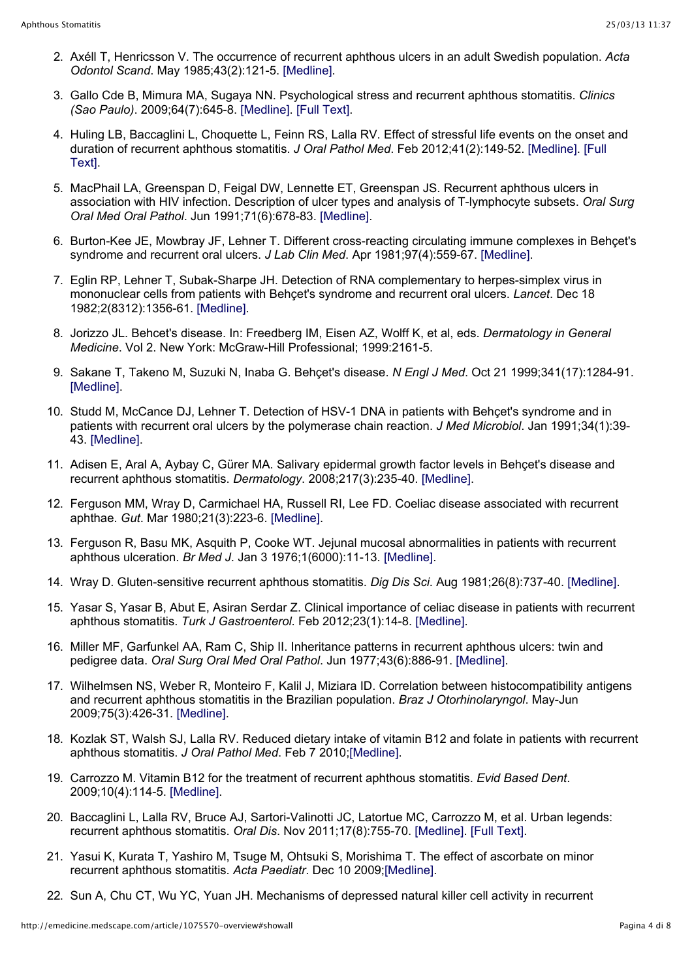- 2. Axéll T, Henricsson V. The occurrence of recurrent aphthous ulcers in an adult Swedish population. *Acta Odontol Scand*. May 1985;43(2):121-5. [Medline].
- 3. Gallo Cde B, Mimura MA, Sugaya NN. Psychological stress and recurrent aphthous stomatitis. *Clinics (Sao Paulo)*. 2009;64(7):645-8. [Medline]. [Full Text].
- 4. Huling LB, Baccaglini L, Choquette L, Feinn RS, Lalla RV. Effect of stressful life events on the onset and duration of recurrent aphthous stomatitis. *J Oral Pathol Med*. Feb 2012;41(2):149-52. [Medline]. [Full Text].
- 5. MacPhail LA, Greenspan D, Feigal DW, Lennette ET, Greenspan JS. Recurrent aphthous ulcers in association with HIV infection. Description of ulcer types and analysis of T-lymphocyte subsets. *Oral Surg Oral Med Oral Pathol*. Jun 1991;71(6):678-83. [Medline].
- 6. Burton-Kee JE, Mowbray JF, Lehner T. Different cross-reacting circulating immune complexes in Behçet's syndrome and recurrent oral ulcers. *J Lab Clin Med*. Apr 1981;97(4):559-67. [Medline].
- 7. Eglin RP, Lehner T, Subak-Sharpe JH. Detection of RNA complementary to herpes-simplex virus in mononuclear cells from patients with Behçet's syndrome and recurrent oral ulcers. *Lancet*. Dec 18 1982;2(8312):1356-61. [Medline].
- 8. Jorizzo JL. Behcet's disease. In: Freedberg IM, Eisen AZ, Wolff K, et al, eds. *Dermatology in General Medicine*. Vol 2. New York: McGraw-Hill Professional; 1999:2161-5.
- 9. Sakane T, Takeno M, Suzuki N, Inaba G. Behçet's disease. *N Engl J Med*. Oct 21 1999;341(17):1284-91. [Medline].
- 10. Studd M, McCance DJ, Lehner T. Detection of HSV-1 DNA in patients with Behçet's syndrome and in patients with recurrent oral ulcers by the polymerase chain reaction. *J Med Microbiol*. Jan 1991;34(1):39- 43. [Medline].
- 11. Adisen E, Aral A, Aybay C, Gürer MA. Salivary epidermal growth factor levels in Behçet's disease and recurrent aphthous stomatitis. *Dermatology*. 2008;217(3):235-40. [Medline].
- 12. Ferguson MM, Wray D, Carmichael HA, Russell RI, Lee FD. Coeliac disease associated with recurrent aphthae. *Gut*. Mar 1980;21(3):223-6. [Medline].
- 13. Ferguson R, Basu MK, Asquith P, Cooke WT. Jejunal mucosal abnormalities in patients with recurrent aphthous ulceration. *Br Med J*. Jan 3 1976;1(6000):11-13. [Medline].
- 14. Wray D. Gluten-sensitive recurrent aphthous stomatitis. *Dig Dis Sci*. Aug 1981;26(8):737-40. [Medline].
- 15. Yasar S, Yasar B, Abut E, Asiran Serdar Z. Clinical importance of celiac disease in patients with recurrent aphthous stomatitis. *Turk J Gastroenterol*. Feb 2012;23(1):14-8. [Medline].
- 16. Miller MF, Garfunkel AA, Ram C, Ship II. Inheritance patterns in recurrent aphthous ulcers: twin and pedigree data. *Oral Surg Oral Med Oral Pathol*. Jun 1977;43(6):886-91. [Medline].
- 17. Wilhelmsen NS, Weber R, Monteiro F, Kalil J, Miziara ID. Correlation between histocompatibility antigens and recurrent aphthous stomatitis in the Brazilian population. *Braz J Otorhinolaryngol*. May-Jun 2009;75(3):426-31. [Medline].
- 18. Kozlak ST, Walsh SJ, Lalla RV. Reduced dietary intake of vitamin B12 and folate in patients with recurrent aphthous stomatitis. *J Oral Pathol Med*. Feb 7 2010;[Medline].
- 19. Carrozzo M. Vitamin B12 for the treatment of recurrent aphthous stomatitis. *Evid Based Dent*. 2009;10(4):114-5. [Medline].
- 20. Baccaglini L, Lalla RV, Bruce AJ, Sartori-Valinotti JC, Latortue MC, Carrozzo M, et al. Urban legends: recurrent aphthous stomatitis. *Oral Dis*. Nov 2011;17(8):755-70. [Medline]. [Full Text].
- 21. Yasui K, Kurata T, Yashiro M, Tsuge M, Ohtsuki S, Morishima T. The effect of ascorbate on minor recurrent aphthous stomatitis. *Acta Paediatr*. Dec 10 2009;[Medline].
- 22. Sun A, Chu CT, Wu YC, Yuan JH. Mechanisms of depressed natural killer cell activity in recurrent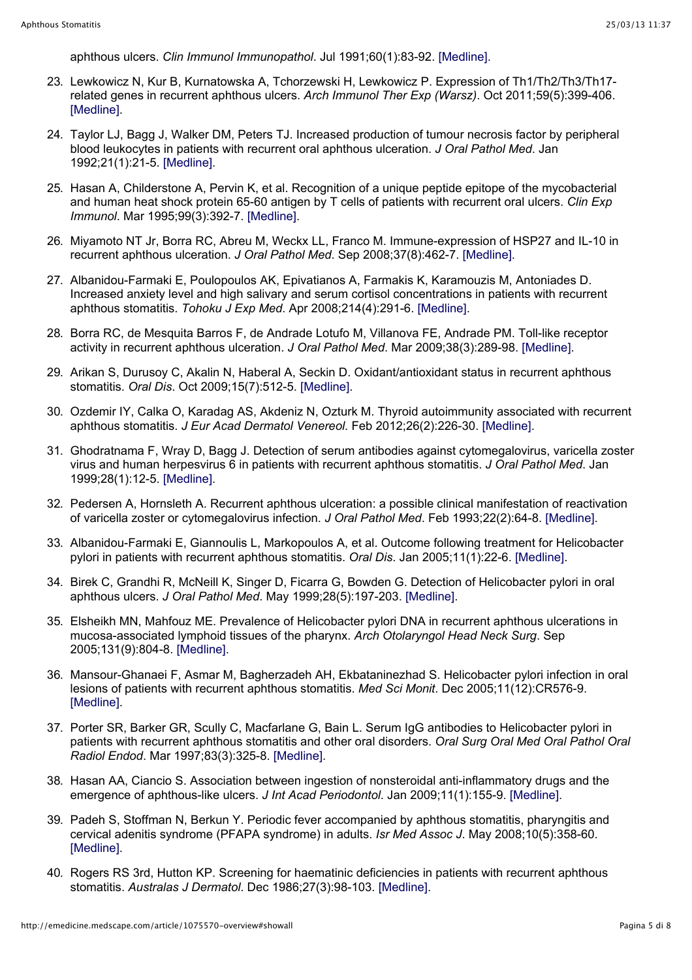aphthous ulcers. *Clin Immunol Immunopathol*. Jul 1991;60(1):83-92. [Medline].

- 23. Lewkowicz N, Kur B, Kurnatowska A, Tchorzewski H, Lewkowicz P. Expression of Th1/Th2/Th3/Th17 related genes in recurrent aphthous ulcers. *Arch Immunol Ther Exp (Warsz)*. Oct 2011;59(5):399-406. [Medline].
- 24. Taylor LJ, Bagg J, Walker DM, Peters TJ. Increased production of tumour necrosis factor by peripheral blood leukocytes in patients with recurrent oral aphthous ulceration. *J Oral Pathol Med*. Jan 1992;21(1):21-5. [Medline].
- 25. Hasan A, Childerstone A, Pervin K, et al. Recognition of a unique peptide epitope of the mycobacterial and human heat shock protein 65-60 antigen by T cells of patients with recurrent oral ulcers. *Clin Exp Immunol*. Mar 1995;99(3):392-7. [Medline].
- 26. Miyamoto NT Jr, Borra RC, Abreu M, Weckx LL, Franco M. Immune-expression of HSP27 and IL-10 in recurrent aphthous ulceration. *J Oral Pathol Med*. Sep 2008;37(8):462-7. [Medline].
- 27. Albanidou-Farmaki E, Poulopoulos AK, Epivatianos A, Farmakis K, Karamouzis M, Antoniades D. Increased anxiety level and high salivary and serum cortisol concentrations in patients with recurrent aphthous stomatitis. *Tohoku J Exp Med*. Apr 2008;214(4):291-6. [Medline].
- 28. Borra RC, de Mesquita Barros F, de Andrade Lotufo M, Villanova FE, Andrade PM. Toll-like receptor activity in recurrent aphthous ulceration. *J Oral Pathol Med*. Mar 2009;38(3):289-98. [Medline].
- 29. Arikan S, Durusoy C, Akalin N, Haberal A, Seckin D. Oxidant/antioxidant status in recurrent aphthous stomatitis. *Oral Dis*. Oct 2009;15(7):512-5. [Medline].
- 30. Ozdemir IY, Calka O, Karadag AS, Akdeniz N, Ozturk M. Thyroid autoimmunity associated with recurrent aphthous stomatitis. *J Eur Acad Dermatol Venereol*. Feb 2012;26(2):226-30. [Medline].
- 31. Ghodratnama F, Wray D, Bagg J. Detection of serum antibodies against cytomegalovirus, varicella zoster virus and human herpesvirus 6 in patients with recurrent aphthous stomatitis. *J Oral Pathol Med*. Jan 1999;28(1):12-5. [Medline].
- 32. Pedersen A, Hornsleth A. Recurrent aphthous ulceration: a possible clinical manifestation of reactivation of varicella zoster or cytomegalovirus infection. *J Oral Pathol Med*. Feb 1993;22(2):64-8. [Medline].
- 33. Albanidou-Farmaki E, Giannoulis L, Markopoulos A, et al. Outcome following treatment for Helicobacter pylori in patients with recurrent aphthous stomatitis. *Oral Dis*. Jan 2005;11(1):22-6. [Medline].
- 34. Birek C, Grandhi R, McNeill K, Singer D, Ficarra G, Bowden G. Detection of Helicobacter pylori in oral aphthous ulcers. *J Oral Pathol Med*. May 1999;28(5):197-203. [Medline].
- 35. Elsheikh MN, Mahfouz ME. Prevalence of Helicobacter pylori DNA in recurrent aphthous ulcerations in mucosa-associated lymphoid tissues of the pharynx. *Arch Otolaryngol Head Neck Surg*. Sep 2005;131(9):804-8. [Medline].
- 36. Mansour-Ghanaei F, Asmar M, Bagherzadeh AH, Ekbataninezhad S. Helicobacter pylori infection in oral lesions of patients with recurrent aphthous stomatitis. *Med Sci Monit*. Dec 2005;11(12):CR576-9. [Medline].
- 37. Porter SR, Barker GR, Scully C, Macfarlane G, Bain L. Serum IgG antibodies to Helicobacter pylori in patients with recurrent aphthous stomatitis and other oral disorders. *Oral Surg Oral Med Oral Pathol Oral Radiol Endod*. Mar 1997;83(3):325-8. [Medline].
- 38. Hasan AA, Ciancio S. Association between ingestion of nonsteroidal anti-inflammatory drugs and the emergence of aphthous-like ulcers. *J Int Acad Periodontol*. Jan 2009;11(1):155-9. [Medline].
- 39. Padeh S, Stoffman N, Berkun Y. Periodic fever accompanied by aphthous stomatitis, pharyngitis and cervical adenitis syndrome (PFAPA syndrome) in adults. *Isr Med Assoc J*. May 2008;10(5):358-60. [Medline].
- 40. Rogers RS 3rd, Hutton KP. Screening for haematinic deficiencies in patients with recurrent aphthous stomatitis. *Australas J Dermatol*. Dec 1986;27(3):98-103. [Medline].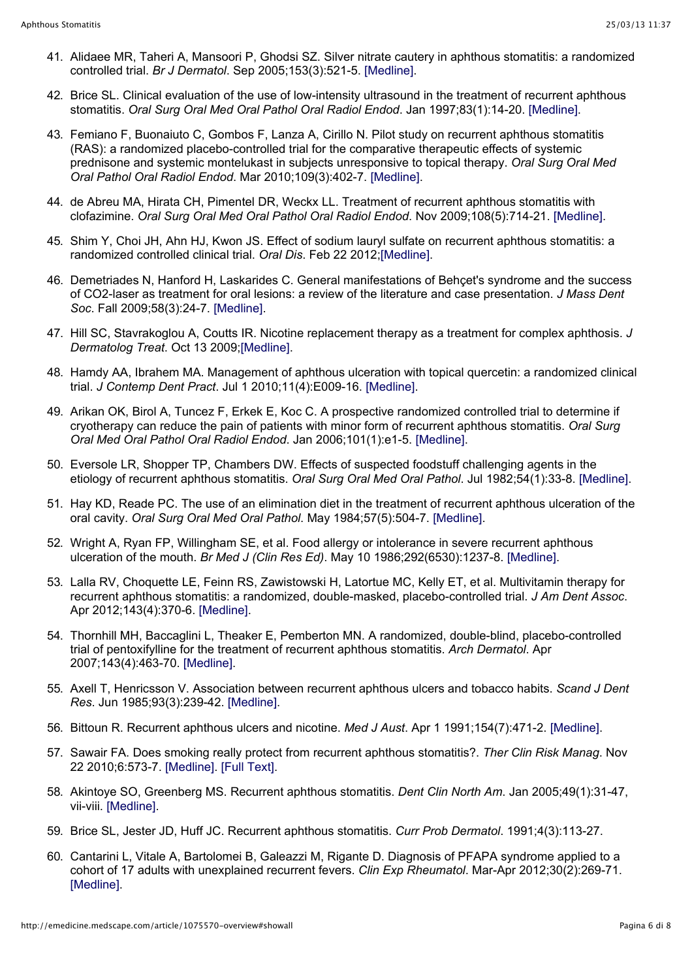- 41. Alidaee MR, Taheri A, Mansoori P, Ghodsi SZ. Silver nitrate cautery in aphthous stomatitis: a randomized controlled trial. *Br J Dermatol*. Sep 2005;153(3):521-5. [Medline].
- 42. Brice SL. Clinical evaluation of the use of low-intensity ultrasound in the treatment of recurrent aphthous stomatitis. *Oral Surg Oral Med Oral Pathol Oral Radiol Endod*. Jan 1997;83(1):14-20. [Medline].
- 43. Femiano F, Buonaiuto C, Gombos F, Lanza A, Cirillo N. Pilot study on recurrent aphthous stomatitis (RAS): a randomized placebo-controlled trial for the comparative therapeutic effects of systemic prednisone and systemic montelukast in subjects unresponsive to topical therapy. *Oral Surg Oral Med Oral Pathol Oral Radiol Endod*. Mar 2010;109(3):402-7. [Medline].
- 44. de Abreu MA, Hirata CH, Pimentel DR, Weckx LL. Treatment of recurrent aphthous stomatitis with clofazimine. *Oral Surg Oral Med Oral Pathol Oral Radiol Endod*. Nov 2009;108(5):714-21. [Medline].
- 45. Shim Y, Choi JH, Ahn HJ, Kwon JS. Effect of sodium lauryl sulfate on recurrent aphthous stomatitis: a randomized controlled clinical trial. *Oral Dis*. Feb 22 2012;[Medline].
- 46. Demetriades N, Hanford H, Laskarides C. General manifestations of Behçet's syndrome and the success of CO2-laser as treatment for oral lesions: a review of the literature and case presentation. *J Mass Dent Soc*. Fall 2009;58(3):24-7. [Medline].
- 47. Hill SC, Stavrakoglou A, Coutts IR. Nicotine replacement therapy as a treatment for complex aphthosis. *J Dermatolog Treat*. Oct 13 2009;[Medline].
- 48. Hamdy AA, Ibrahem MA. Management of aphthous ulceration with topical quercetin: a randomized clinical trial. *J Contemp Dent Pract*. Jul 1 2010;11(4):E009-16. [Medline].
- 49. Arikan OK, Birol A, Tuncez F, Erkek E, Koc C. A prospective randomized controlled trial to determine if cryotherapy can reduce the pain of patients with minor form of recurrent aphthous stomatitis. *Oral Surg Oral Med Oral Pathol Oral Radiol Endod*. Jan 2006;101(1):e1-5. [Medline].
- 50. Eversole LR, Shopper TP, Chambers DW. Effects of suspected foodstuff challenging agents in the etiology of recurrent aphthous stomatitis. *Oral Surg Oral Med Oral Pathol*. Jul 1982;54(1):33-8. [Medline].
- 51. Hay KD, Reade PC. The use of an elimination diet in the treatment of recurrent aphthous ulceration of the oral cavity. *Oral Surg Oral Med Oral Pathol*. May 1984;57(5):504-7. [Medline].
- 52. Wright A, Ryan FP, Willingham SE, et al. Food allergy or intolerance in severe recurrent aphthous ulceration of the mouth. *Br Med J (Clin Res Ed)*. May 10 1986;292(6530):1237-8. [Medline].
- 53. Lalla RV, Choquette LE, Feinn RS, Zawistowski H, Latortue MC, Kelly ET, et al. Multivitamin therapy for recurrent aphthous stomatitis: a randomized, double-masked, placebo-controlled trial. *J Am Dent Assoc*. Apr 2012;143(4):370-6. [Medline].
- 54. Thornhill MH, Baccaglini L, Theaker E, Pemberton MN. A randomized, double-blind, placebo-controlled trial of pentoxifylline for the treatment of recurrent aphthous stomatitis. *Arch Dermatol*. Apr 2007;143(4):463-70. [Medline].
- 55. Axell T, Henricsson V. Association between recurrent aphthous ulcers and tobacco habits. *Scand J Dent Res*. Jun 1985;93(3):239-42. [Medline].
- 56. Bittoun R. Recurrent aphthous ulcers and nicotine. *Med J Aust*. Apr 1 1991;154(7):471-2. [Medline].
- 57. Sawair FA. Does smoking really protect from recurrent aphthous stomatitis?. *Ther Clin Risk Manag*. Nov 22 2010;6:573-7. [Medline]. [Full Text].
- 58. Akintoye SO, Greenberg MS. Recurrent aphthous stomatitis. *Dent Clin North Am*. Jan 2005;49(1):31-47, vii-viii. [Medline].
- 59. Brice SL, Jester JD, Huff JC. Recurrent aphthous stomatitis. *Curr Prob Dermatol*. 1991;4(3):113-27.
- 60. Cantarini L, Vitale A, Bartolomei B, Galeazzi M, Rigante D. Diagnosis of PFAPA syndrome applied to a cohort of 17 adults with unexplained recurrent fevers. *Clin Exp Rheumatol*. Mar-Apr 2012;30(2):269-71. [Medline].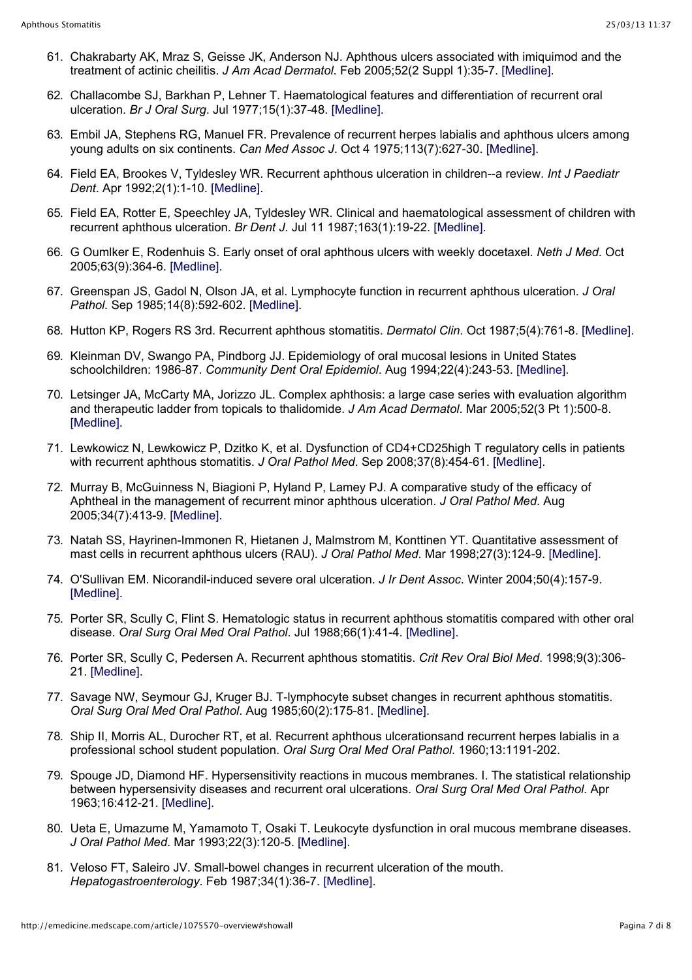- 61. Chakrabarty AK, Mraz S, Geisse JK, Anderson NJ. Aphthous ulcers associated with imiquimod and the treatment of actinic cheilitis. *J Am Acad Dermatol*. Feb 2005;52(2 Suppl 1):35-7. [Medline].
- 62. Challacombe SJ, Barkhan P, Lehner T. Haematological features and differentiation of recurrent oral ulceration. *Br J Oral Surg*. Jul 1977;15(1):37-48. [Medline].
- 63. Embil JA, Stephens RG, Manuel FR. Prevalence of recurrent herpes labialis and aphthous ulcers among young adults on six continents. *Can Med Assoc J*. Oct 4 1975;113(7):627-30. [Medline].
- 64. Field EA, Brookes V, Tyldesley WR. Recurrent aphthous ulceration in children--a review. *Int J Paediatr Dent*. Apr 1992;2(1):1-10. [Medline].
- 65. Field EA, Rotter E, Speechley JA, Tyldesley WR. Clinical and haematological assessment of children with recurrent aphthous ulceration. *Br Dent J*. Jul 11 1987;163(1):19-22. [Medline].
- 66. G Oumlker E, Rodenhuis S. Early onset of oral aphthous ulcers with weekly docetaxel. *Neth J Med*. Oct 2005;63(9):364-6. [Medline].
- 67. Greenspan JS, Gadol N, Olson JA, et al. Lymphocyte function in recurrent aphthous ulceration. *J Oral Pathol*. Sep 1985;14(8):592-602. [Medline].
- 68. Hutton KP, Rogers RS 3rd. Recurrent aphthous stomatitis. *Dermatol Clin*. Oct 1987;5(4):761-8. [Medline].
- 69. Kleinman DV, Swango PA, Pindborg JJ. Epidemiology of oral mucosal lesions in United States schoolchildren: 1986-87. *Community Dent Oral Epidemiol*. Aug 1994;22(4):243-53. [Medline].
- 70. Letsinger JA, McCarty MA, Jorizzo JL. Complex aphthosis: a large case series with evaluation algorithm and therapeutic ladder from topicals to thalidomide. *J Am Acad Dermatol*. Mar 2005;52(3 Pt 1):500-8. [Medline].
- 71. Lewkowicz N, Lewkowicz P, Dzitko K, et al. Dysfunction of CD4+CD25high T regulatory cells in patients with recurrent aphthous stomatitis. *J Oral Pathol Med*. Sep 2008;37(8):454-61. [Medline].
- 72. Murray B, McGuinness N, Biagioni P, Hyland P, Lamey PJ. A comparative study of the efficacy of Aphtheal in the management of recurrent minor aphthous ulceration. *J Oral Pathol Med*. Aug 2005;34(7):413-9. [Medline].
- 73. Natah SS, Hayrinen-Immonen R, Hietanen J, Malmstrom M, Konttinen YT. Quantitative assessment of mast cells in recurrent aphthous ulcers (RAU). *J Oral Pathol Med*. Mar 1998;27(3):124-9. [Medline].
- 74. O'Sullivan EM. Nicorandil-induced severe oral ulceration. *J Ir Dent Assoc*. Winter 2004;50(4):157-9. [Medline].
- 75. Porter SR, Scully C, Flint S. Hematologic status in recurrent aphthous stomatitis compared with other oral disease. *Oral Surg Oral Med Oral Pathol*. Jul 1988;66(1):41-4. [Medline].
- 76. Porter SR, Scully C, Pedersen A. Recurrent aphthous stomatitis. *Crit Rev Oral Biol Med*. 1998;9(3):306- 21. [Medline].
- 77. Savage NW, Seymour GJ, Kruger BJ. T-lymphocyte subset changes in recurrent aphthous stomatitis. *Oral Surg Oral Med Oral Pathol*. Aug 1985;60(2):175-81. [Medline].
- 78. Ship II, Morris AL, Durocher RT, et al. Recurrent aphthous ulcerationsand recurrent herpes labialis in a professional school student population. *Oral Surg Oral Med Oral Pathol*. 1960;13:1191-202.
- 79. Spouge JD, Diamond HF. Hypersensitivity reactions in mucous membranes. I. The statistical relationship between hypersensivity diseases and recurrent oral ulcerations. *Oral Surg Oral Med Oral Pathol*. Apr 1963;16:412-21. [Medline].
- 80. Ueta E, Umazume M, Yamamoto T, Osaki T. Leukocyte dysfunction in oral mucous membrane diseases. *J Oral Pathol Med*. Mar 1993;22(3):120-5. [Medline].
- 81. Veloso FT, Saleiro JV. Small-bowel changes in recurrent ulceration of the mouth. *Hepatogastroenterology*. Feb 1987;34(1):36-7. [Medline].